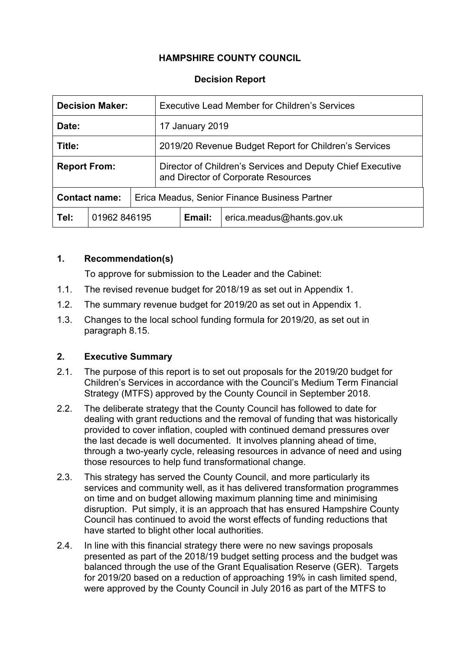# **HAMPSHIRE COUNTY COUNCIL**

#### **Decision Report**

| <b>Decision Maker:</b> |  | Executive Lead Member for Children's Services                                                     |                 |                           |  |
|------------------------|--|---------------------------------------------------------------------------------------------------|-----------------|---------------------------|--|
| Date:                  |  |                                                                                                   | 17 January 2019 |                           |  |
| Title:                 |  | 2019/20 Revenue Budget Report for Children's Services                                             |                 |                           |  |
| <b>Report From:</b>    |  | Director of Children's Services and Deputy Chief Executive<br>and Director of Corporate Resources |                 |                           |  |
| <b>Contact name:</b>   |  | Erica Meadus, Senior Finance Business Partner                                                     |                 |                           |  |
| Tel:<br>01962 846195   |  |                                                                                                   | Email:          | erica meadus@hants.gov.uk |  |

#### **1. Recommendation(s)**

To approve for submission to the Leader and the Cabinet:

- 1.1. The revised revenue budget for 2018/19 as set out in Appendix 1.
- 1.2. The summary revenue budget for 2019/20 as set out in Appendix 1.
- 1.3. Changes to the local school funding formula for 2019/20, as set out in paragraph 8.15.

## **2. Executive Summary**

- 2.1. The purpose of this report is to set out proposals for the 2019/20 budget for Children's Services in accordance with the Council's Medium Term Financial Strategy (MTFS) approved by the County Council in September 2018.
- 2.2. The deliberate strategy that the County Council has followed to date for dealing with grant reductions and the removal of funding that was historically provided to cover inflation, coupled with continued demand pressures over the last decade is well documented. It involves planning ahead of time, through a two-yearly cycle, releasing resources in advance of need and using those resources to help fund transformational change.
- 2.3. This strategy has served the County Council, and more particularly its services and community well, as it has delivered transformation programmes on time and on budget allowing maximum planning time and minimising disruption. Put simply, it is an approach that has ensured Hampshire County Council has continued to avoid the worst effects of funding reductions that have started to blight other local authorities.
- 2.4. In line with this financial strategy there were no new savings proposals presented as part of the 2018/19 budget setting process and the budget was balanced through the use of the Grant Equalisation Reserve (GER). Targets for 2019/20 based on a reduction of approaching 19% in cash limited spend, were approved by the County Council in July 2016 as part of the MTFS to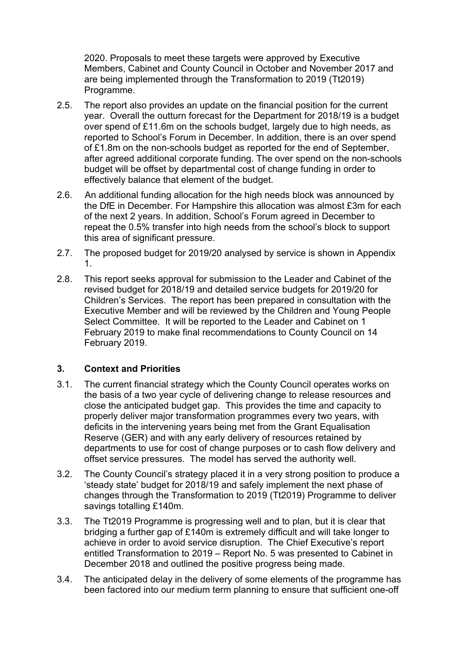2020. Proposals to meet these targets were approved by Executive Members, Cabinet and County Council in October and November 2017 and are being implemented through the Transformation to 2019 (Tt2019) Programme.

- 2.5. The report also provides an update on the financial position for the current year. Overall the outturn forecast for the Department for 2018/19 is a budget over spend of £11.6m on the schools budget, largely due to high needs, as reported to School's Forum in December. In addition, there is an over spend of £1.8m on the non-schools budget as reported for the end of September, after agreed additional corporate funding. The over spend on the non-schools budget will be offset by departmental cost of change funding in order to effectively balance that element of the budget.
- 2.6. An additional funding allocation for the high needs block was announced by the DfE in December. For Hampshire this allocation was almost £3m for each of the next 2 years. In addition, School's Forum agreed in December to repeat the 0.5% transfer into high needs from the school's block to support this area of significant pressure.
- 2.7. The proposed budget for 2019/20 analysed by service is shown in Appendix 1.
- 2.8. This report seeks approval for submission to the Leader and Cabinet of the revised budget for 2018/19 and detailed service budgets for 2019/20 for Children's Services. The report has been prepared in consultation with the Executive Member and will be reviewed by the Children and Young People Select Committee. It will be reported to the Leader and Cabinet on 1 February 2019 to make final recommendations to County Council on 14 February 2019.

## **3. Context and Priorities**

- 3.1. The current financial strategy which the County Council operates works on the basis of a two year cycle of delivering change to release resources and close the anticipated budget gap. This provides the time and capacity to properly deliver major transformation programmes every two years, with deficits in the intervening years being met from the Grant Equalisation Reserve (GER) and with any early delivery of resources retained by departments to use for cost of change purposes or to cash flow delivery and offset service pressures. The model has served the authority well.
- 3.2. The County Council's strategy placed it in a very strong position to produce a 'steady state' budget for 2018/19 and safely implement the next phase of changes through the Transformation to 2019 (Tt2019) Programme to deliver savings totalling £140m.
- 3.3. The Tt2019 Programme is progressing well and to plan, but it is clear that bridging a further gap of £140m is extremely difficult and will take longer to achieve in order to avoid service disruption. The Chief Executive's report entitled Transformation to 2019 – Report No. 5 was presented to Cabinet in December 2018 and outlined the positive progress being made.
- 3.4. The anticipated delay in the delivery of some elements of the programme has been factored into our medium term planning to ensure that sufficient one-off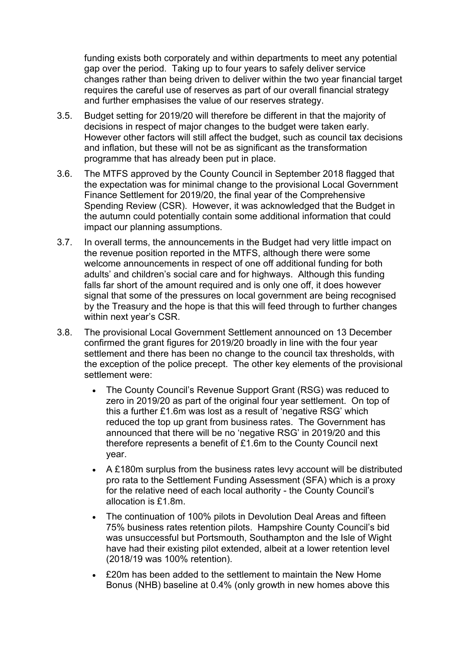funding exists both corporately and within departments to meet any potential gap over the period. Taking up to four years to safely deliver service changes rather than being driven to deliver within the two year financial target requires the careful use of reserves as part of our overall financial strategy and further emphasises the value of our reserves strategy.

- 3.5. Budget setting for 2019/20 will therefore be different in that the majority of decisions in respect of major changes to the budget were taken early. However other factors will still affect the budget, such as council tax decisions and inflation, but these will not be as significant as the transformation programme that has already been put in place.
- 3.6. The MTFS approved by the County Council in September 2018 flagged that the expectation was for minimal change to the provisional Local Government Finance Settlement for 2019/20, the final year of the Comprehensive Spending Review (CSR). However, it was acknowledged that the Budget in the autumn could potentially contain some additional information that could impact our planning assumptions.
- 3.7. In overall terms, the announcements in the Budget had very little impact on the revenue position reported in the MTFS, although there were some welcome announcements in respect of one off additional funding for both adults' and children's social care and for highways. Although this funding falls far short of the amount required and is only one off, it does however signal that some of the pressures on local government are being recognised by the Treasury and the hope is that this will feed through to further changes within next year's CSR.
- 3.8. The provisional Local Government Settlement announced on 13 December confirmed the grant figures for 2019/20 broadly in line with the four year settlement and there has been no change to the council tax thresholds, with the exception of the police precept. The other key elements of the provisional settlement were:
	- The County Council's Revenue Support Grant (RSG) was reduced to zero in 2019/20 as part of the original four year settlement. On top of this a further £1.6m was lost as a result of 'negative RSG' which reduced the top up grant from business rates. The Government has announced that there will be no 'negative RSG' in 2019/20 and this therefore represents a benefit of £1.6m to the County Council next year.
	- A £180m surplus from the business rates levy account will be distributed pro rata to the Settlement Funding Assessment (SFA) which is a proxy for the relative need of each local authority - the County Council's allocation is £1.8m.
	- The continuation of 100% pilots in Devolution Deal Areas and fifteen 75% business rates retention pilots. Hampshire County Council's bid was unsuccessful but Portsmouth, Southampton and the Isle of Wight have had their existing pilot extended, albeit at a lower retention level (2018/19 was 100% retention).
	- £20m has been added to the settlement to maintain the New Home Bonus (NHB) baseline at 0.4% (only growth in new homes above this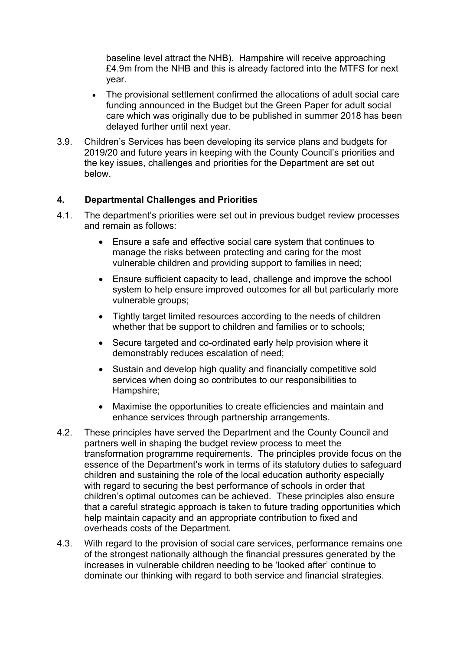baseline level attract the NHB). Hampshire will receive approaching £4.9m from the NHB and this is already factored into the MTFS for next year.

- The provisional settlement confirmed the allocations of adult social care funding announced in the Budget but the Green Paper for adult social care which was originally due to be published in summer 2018 has been delayed further until next year.
- 3.9. Children's Services has been developing its service plans and budgets for 2019/20 and future years in keeping with the County Council's priorities and the key issues, challenges and priorities for the Department are set out below.

## **4. Departmental Challenges and Priorities**

- 4.1. The department's priorities were set out in previous budget review processes and remain as follows:
	- Ensure a safe and effective social care system that continues to manage the risks between protecting and caring for the most vulnerable children and providing support to families in need;
	- Ensure sufficient capacity to lead, challenge and improve the school system to help ensure improved outcomes for all but particularly more vulnerable groups;
	- Tightly target limited resources according to the needs of children whether that be support to children and families or to schools;
	- Secure targeted and co-ordinated early help provision where it demonstrably reduces escalation of need;
	- Sustain and develop high quality and financially competitive sold services when doing so contributes to our responsibilities to Hampshire;
	- Maximise the opportunities to create efficiencies and maintain and enhance services through partnership arrangements.
- 4.2. These principles have served the Department and the County Council and partners well in shaping the budget review process to meet the transformation programme requirements. The principles provide focus on the essence of the Department's work in terms of its statutory duties to safeguard children and sustaining the role of the local education authority especially with regard to securing the best performance of schools in order that children's optimal outcomes can be achieved. These principles also ensure that a careful strategic approach is taken to future trading opportunities which help maintain capacity and an appropriate contribution to fixed and overheads costs of the Department.
- 4.3. With regard to the provision of social care services, performance remains one of the strongest nationally although the financial pressures generated by the increases in vulnerable children needing to be 'looked after' continue to dominate our thinking with regard to both service and financial strategies.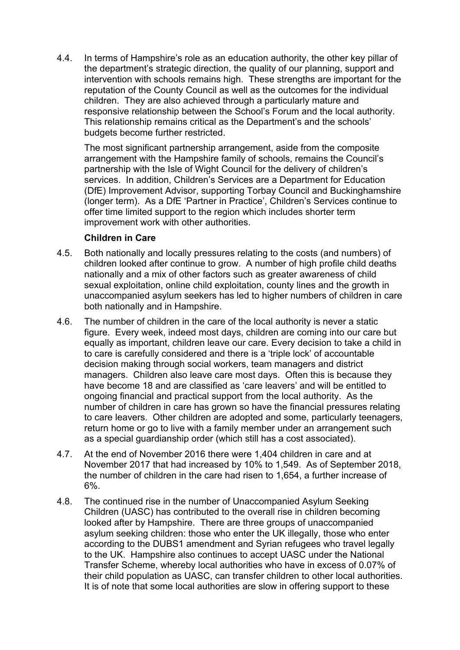4.4. In terms of Hampshire's role as an education authority, the other key pillar of the department's strategic direction, the quality of our planning, support and intervention with schools remains high. These strengths are important for the reputation of the County Council as well as the outcomes for the individual children. They are also achieved through a particularly mature and responsive relationship between the School's Forum and the local authority. This relationship remains critical as the Department's and the schools' budgets become further restricted.

The most significant partnership arrangement, aside from the composite arrangement with the Hampshire family of schools, remains the Council's partnership with the Isle of Wight Council for the delivery of children's services. In addition, Children's Services are a Department for Education (DfE) Improvement Advisor, supporting Torbay Council and Buckinghamshire (longer term). As a DfE 'Partner in Practice', Children's Services continue to offer time limited support to the region which includes shorter term improvement work with other authorities.

#### **Children in Care**

- 4.5. Both nationally and locally pressures relating to the costs (and numbers) of children looked after continue to grow. A number of high profile child deaths nationally and a mix of other factors such as greater awareness of child sexual exploitation, online child exploitation, county lines and the growth in unaccompanied asylum seekers has led to higher numbers of children in care both nationally and in Hampshire.
- 4.6. The number of children in the care of the local authority is never a static figure. Every week, indeed most days, children are coming into our care but equally as important, children leave our care. Every decision to take a child in to care is carefully considered and there is a 'triple lock' of accountable decision making through social workers, team managers and district managers. Children also leave care most days. Often this is because they have become 18 and are classified as 'care leavers' and will be entitled to ongoing financial and practical support from the local authority. As the number of children in care has grown so have the financial pressures relating to care leavers. Other children are adopted and some, particularly teenagers, return home or go to live with a family member under an arrangement such as a special guardianship order (which still has a cost associated).
- 4.7. At the end of November 2016 there were 1,404 children in care and at November 2017 that had increased by 10% to 1,549. As of September 2018, the number of children in the care had risen to 1,654, a further increase of 6%.
- 4.8. The continued rise in the number of Unaccompanied Asylum Seeking Children (UASC) has contributed to the overall rise in children becoming looked after by Hampshire. There are three groups of unaccompanied asylum seeking children: those who enter the UK illegally, those who enter according to the DUBS1 amendment and Syrian refugees who travel legally to the UK. Hampshire also continues to accept UASC under the National Transfer Scheme, whereby local authorities who have in excess of 0.07% of their child population as UASC, can transfer children to other local authorities. It is of note that some local authorities are slow in offering support to these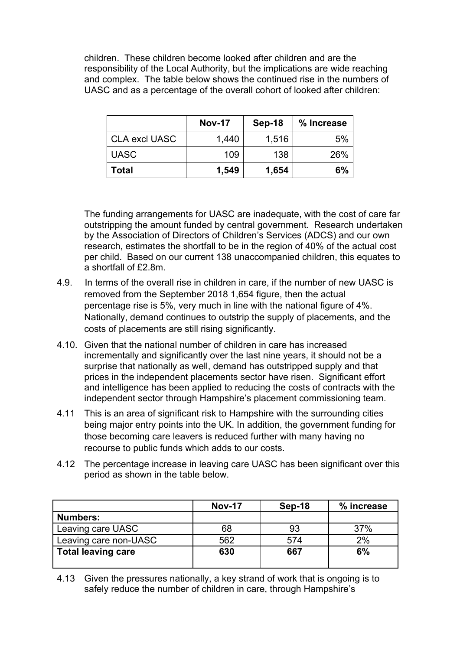children. These children become looked after children and are the responsibility of the Local Authority, but the implications are wide reaching and complex. The table below shows the continued rise in the numbers of UASC and as a percentage of the overall cohort of looked after children:

|                      | <b>Nov-17</b> | <b>Sep-18</b> | % Increase |
|----------------------|---------------|---------------|------------|
| <b>CLA excl UASC</b> | 1,440         | 1,516         | 5%         |
| <b>UASC</b>          | 109           | 138           | 26%        |
| Total                | 1,549         | 1,654         | 6%         |

The funding arrangements for UASC are inadequate, with the cost of care far outstripping the amount funded by central government. Research undertaken by the Association of Directors of Children's Services (ADCS) and our own research, estimates the shortfall to be in the region of 40% of the actual cost per child. Based on our current 138 unaccompanied children, this equates to a shortfall of £2.8m.

- 4.9. In terms of the overall rise in children in care, if the number of new UASC is removed from the September 2018 1,654 figure, then the actual percentage rise is 5%, very much in line with the national figure of 4%. Nationally, demand continues to outstrip the supply of placements, and the costs of placements are still rising significantly.
- 4.10. Given that the national number of children in care has increased incrementally and significantly over the last nine years, it should not be a surprise that nationally as well, demand has outstripped supply and that prices in the independent placements sector have risen. Significant effort and intelligence has been applied to reducing the costs of contracts with the independent sector through Hampshire's placement commissioning team.
- 4.11 This is an area of significant risk to Hampshire with the surrounding cities being major entry points into the UK. In addition, the government funding for those becoming care leavers is reduced further with many having no recourse to public funds which adds to our costs.
- 4.12 The percentage increase in leaving care UASC has been significant over this period as shown in the table below.

|                           | <b>Nov-17</b> | Sep-18 | % increase |
|---------------------------|---------------|--------|------------|
| <b>Numbers:</b>           |               |        |            |
| Leaving care UASC         | 68            | 93     | 37%        |
| Leaving care non-UASC     | 562           | 574    | 2%         |
| <b>Total leaving care</b> | 630           | 667    | 6%         |

4.13 Given the pressures nationally, a key strand of work that is ongoing is to safely reduce the number of children in care, through Hampshire's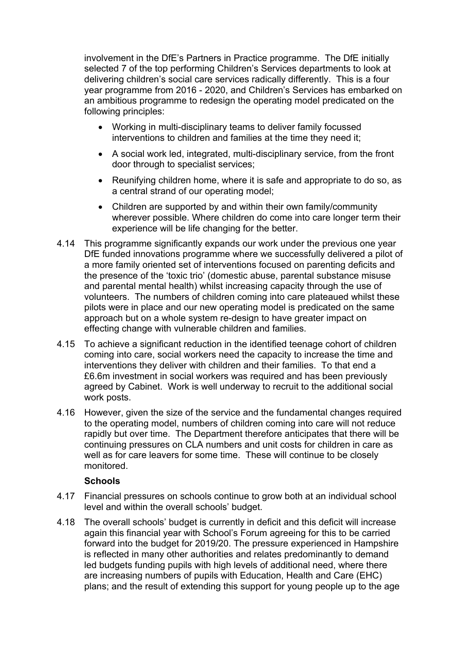involvement in the DfE's Partners in Practice programme. The DfE initially selected 7 of the top performing Children's Services departments to look at delivering children's social care services radically differently. This is a four year programme from 2016 - 2020, and Children's Services has embarked on an ambitious programme to redesign the operating model predicated on the following principles:

- Working in multi-disciplinary teams to deliver family focussed interventions to children and families at the time they need it;
- A social work led, integrated, multi-disciplinary service, from the front door through to specialist services;
- Reunifying children home, where it is safe and appropriate to do so, as a central strand of our operating model;
- Children are supported by and within their own family/community wherever possible. Where children do come into care longer term their experience will be life changing for the better.
- 4.14 This programme significantly expands our work under the previous one year DfE funded innovations programme where we successfully delivered a pilot of a more family oriented set of interventions focused on parenting deficits and the presence of the 'toxic trio' (domestic abuse, parental substance misuse and parental mental health) whilst increasing capacity through the use of volunteers. The numbers of children coming into care plateaued whilst these pilots were in place and our new operating model is predicated on the same approach but on a whole system re-design to have greater impact on effecting change with vulnerable children and families.
- 4.15 To achieve a significant reduction in the identified teenage cohort of children coming into care, social workers need the capacity to increase the time and interventions they deliver with children and their families. To that end a £6.6m investment in social workers was required and has been previously agreed by Cabinet. Work is well underway to recruit to the additional social work posts.
- 4.16 However, given the size of the service and the fundamental changes required to the operating model, numbers of children coming into care will not reduce rapidly but over time. The Department therefore anticipates that there will be continuing pressures on CLA numbers and unit costs for children in care as well as for care leavers for some time. These will continue to be closely monitored.

## **Schools**

- 4.17 Financial pressures on schools continue to grow both at an individual school level and within the overall schools' budget.
- 4.18 The overall schools' budget is currently in deficit and this deficit will increase again this financial year with School's Forum agreeing for this to be carried forward into the budget for 2019/20. The pressure experienced in Hampshire is reflected in many other authorities and relates predominantly to demand led budgets funding pupils with high levels of additional need, where there are increasing numbers of pupils with Education, Health and Care (EHC) plans; and the result of extending this support for young people up to the age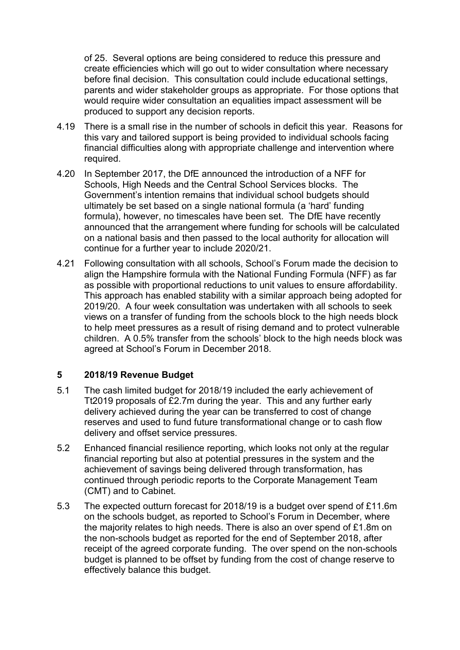of 25. Several options are being considered to reduce this pressure and create efficiencies which will go out to wider consultation where necessary before final decision. This consultation could include educational settings, parents and wider stakeholder groups as appropriate. For those options that would require wider consultation an equalities impact assessment will be produced to support any decision reports.

- 4.19 There is a small rise in the number of schools in deficit this year. Reasons for this vary and tailored support is being provided to individual schools facing financial difficulties along with appropriate challenge and intervention where required.
- 4.20 In September 2017, the DfE announced the introduction of a NFF for Schools, High Needs and the Central School Services blocks. The Government's intention remains that individual school budgets should ultimately be set based on a single national formula (a 'hard' funding formula), however, no timescales have been set. The DfE have recently announced that the arrangement where funding for schools will be calculated on a national basis and then passed to the local authority for allocation will continue for a further year to include 2020/21.
- 4.21 Following consultation with all schools, School's Forum made the decision to align the Hampshire formula with the National Funding Formula (NFF) as far as possible with proportional reductions to unit values to ensure affordability. This approach has enabled stability with a similar approach being adopted for 2019/20. A four week consultation was undertaken with all schools to seek views on a transfer of funding from the schools block to the high needs block to help meet pressures as a result of rising demand and to protect vulnerable children. A 0.5% transfer from the schools' block to the high needs block was agreed at School's Forum in December 2018.

#### **5 2018/19 Revenue Budget**

- 5.1 The cash limited budget for 2018/19 included the early achievement of Tt2019 proposals of £2.7m during the year. This and any further early delivery achieved during the year can be transferred to cost of change reserves and used to fund future transformational change or to cash flow delivery and offset service pressures.
- 5.2 Enhanced financial resilience reporting, which looks not only at the regular financial reporting but also at potential pressures in the system and the achievement of savings being delivered through transformation, has continued through periodic reports to the Corporate Management Team (CMT) and to Cabinet.
- 5.3 The expected outturn forecast for 2018/19 is a budget over spend of £11.6m on the schools budget, as reported to School's Forum in December, where the majority relates to high needs. There is also an over spend of £1.8m on the non-schools budget as reported for the end of September 2018, after receipt of the agreed corporate funding. The over spend on the non-schools budget is planned to be offset by funding from the cost of change reserve to effectively balance this budget.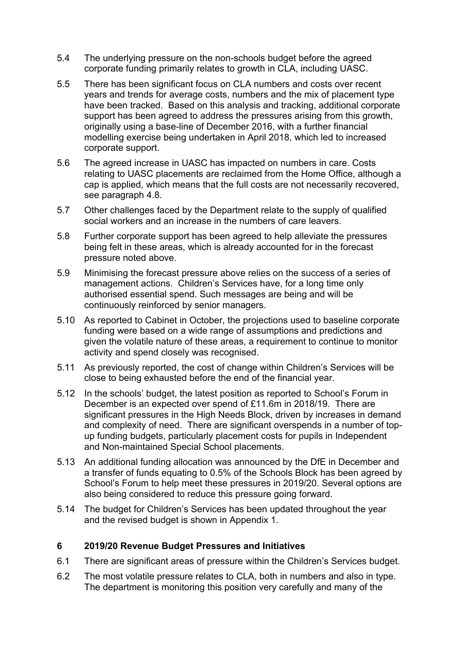- 5.4 The underlying pressure on the non-schools budget before the agreed corporate funding primarily relates to growth in CLA, including UASC.
- 5.5 There has been significant focus on CLA numbers and costs over recent years and trends for average costs, numbers and the mix of placement type have been tracked. Based on this analysis and tracking, additional corporate support has been agreed to address the pressures arising from this growth, originally using a base-line of December 2016, with a further financial modelling exercise being undertaken in April 2018, which led to increased corporate support.
- 5.6 The agreed increase in UASC has impacted on numbers in care. Costs relating to UASC placements are reclaimed from the Home Office, although a cap is applied, which means that the full costs are not necessarily recovered, see paragraph 4.8.
- 5.7 Other challenges faced by the Department relate to the supply of qualified social workers and an increase in the numbers of care leavers.
- 5.8 Further corporate support has been agreed to help alleviate the pressures being felt in these areas, which is already accounted for in the forecast pressure noted above.
- 5.9 Minimising the forecast pressure above relies on the success of a series of management actions. Children's Services have, for a long time only authorised essential spend. Such messages are being and will be continuously reinforced by senior managers.
- 5.10 As reported to Cabinet in October, the projections used to baseline corporate funding were based on a wide range of assumptions and predictions and given the volatile nature of these areas, a requirement to continue to monitor activity and spend closely was recognised.
- 5.11 As previously reported, the cost of change within Children's Services will be close to being exhausted before the end of the financial year.
- 5.12 In the schools' budget, the latest position as reported to School's Forum in December is an expected over spend of £11.6m in 2018/19. There are significant pressures in the High Needs Block, driven by increases in demand and complexity of need. There are significant overspends in a number of topup funding budgets, particularly placement costs for pupils in Independent and Non-maintained Special School placements.
- 5.13 An additional funding allocation was announced by the DfE in December and a transfer of funds equating to 0.5% of the Schools Block has been agreed by School's Forum to help meet these pressures in 2019/20. Several options are also being considered to reduce this pressure going forward.
- 5.14 The budget for Children's Services has been updated throughout the year and the revised budget is shown in Appendix 1.

#### **6 2019/20 Revenue Budget Pressures and Initiatives**

- 6.1 There are significant areas of pressure within the Children's Services budget.
- 6.2 The most volatile pressure relates to CLA, both in numbers and also in type. The department is monitoring this position very carefully and many of the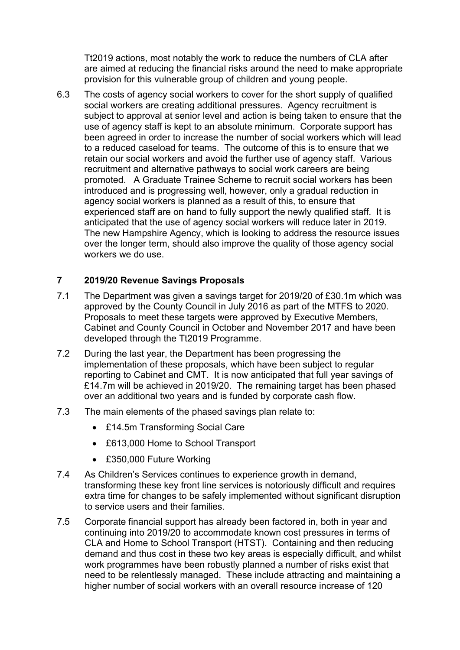Tt2019 actions, most notably the work to reduce the numbers of CLA after are aimed at reducing the financial risks around the need to make appropriate provision for this vulnerable group of children and young people.

6.3 The costs of agency social workers to cover for the short supply of qualified social workers are creating additional pressures. Agency recruitment is subject to approval at senior level and action is being taken to ensure that the use of agency staff is kept to an absolute minimum. Corporate support has been agreed in order to increase the number of social workers which will lead to a reduced caseload for teams. The outcome of this is to ensure that we retain our social workers and avoid the further use of agency staff. Various recruitment and alternative pathways to social work careers are being promoted. A Graduate Trainee Scheme to recruit social workers has been introduced and is progressing well, however, only a gradual reduction in agency social workers is planned as a result of this, to ensure that experienced staff are on hand to fully support the newly qualified staff. It is anticipated that the use of agency social workers will reduce later in 2019. The new Hampshire Agency, which is looking to address the resource issues over the longer term, should also improve the quality of those agency social workers we do use.

#### **7 2019/20 Revenue Savings Proposals**

- 7.1 The Department was given a savings target for 2019/20 of £30.1m which was approved by the County Council in July 2016 as part of the MTFS to 2020. Proposals to meet these targets were approved by Executive Members, Cabinet and County Council in October and November 2017 and have been developed through the Tt2019 Programme.
- 7.2 During the last year, the Department has been progressing the implementation of these proposals, which have been subject to regular reporting to Cabinet and CMT. It is now anticipated that full year savings of £14.7m will be achieved in 2019/20. The remaining target has been phased over an additional two years and is funded by corporate cash flow.
- 7.3 The main elements of the phased savings plan relate to:
	- £14.5m Transforming Social Care
	- £613,000 Home to School Transport
	- £350,000 Future Working
- 7.4 As Children's Services continues to experience growth in demand, transforming these key front line services is notoriously difficult and requires extra time for changes to be safely implemented without significant disruption to service users and their families.
- 7.5 Corporate financial support has already been factored in, both in year and continuing into 2019/20 to accommodate known cost pressures in terms of CLA and Home to School Transport (HTST). Containing and then reducing demand and thus cost in these two key areas is especially difficult, and whilst work programmes have been robustly planned a number of risks exist that need to be relentlessly managed. These include attracting and maintaining a higher number of social workers with an overall resource increase of 120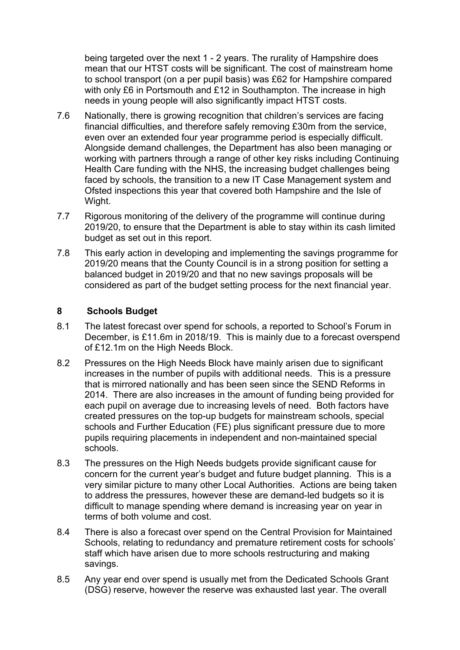being targeted over the next 1 - 2 years. The rurality of Hampshire does mean that our HTST costs will be significant. The cost of mainstream home to school transport (on a per pupil basis) was £62 for Hampshire compared with only £6 in Portsmouth and £12 in Southampton. The increase in high needs in young people will also significantly impact HTST costs.

- 7.6 Nationally, there is growing recognition that children's services are facing financial difficulties, and therefore safely removing £30m from the service, even over an extended four year programme period is especially difficult. Alongside demand challenges, the Department has also been managing or working with partners through a range of other key risks including Continuing Health Care funding with the NHS, the increasing budget challenges being faced by schools, the transition to a new IT Case Management system and Ofsted inspections this year that covered both Hampshire and the Isle of Wight.
- 7.7 Rigorous monitoring of the delivery of the programme will continue during 2019/20, to ensure that the Department is able to stay within its cash limited budget as set out in this report.
- 7.8 This early action in developing and implementing the savings programme for 2019/20 means that the County Council is in a strong position for setting a balanced budget in 2019/20 and that no new savings proposals will be considered as part of the budget setting process for the next financial year.

## **8 Schools Budget**

- 8.1 The latest forecast over spend for schools, a reported to School's Forum in December, is £11.6m in 2018/19. This is mainly due to a forecast overspend of £12.1m on the High Needs Block.
- 8.2 Pressures on the High Needs Block have mainly arisen due to significant increases in the number of pupils with additional needs. This is a pressure that is mirrored nationally and has been seen since the SEND Reforms in 2014. There are also increases in the amount of funding being provided for each pupil on average due to increasing levels of need. Both factors have created pressures on the top-up budgets for mainstream schools, special schools and Further Education (FE) plus significant pressure due to more pupils requiring placements in independent and non-maintained special schools.
- 8.3 The pressures on the High Needs budgets provide significant cause for concern for the current year's budget and future budget planning. This is a very similar picture to many other Local Authorities. Actions are being taken to address the pressures, however these are demand-led budgets so it is difficult to manage spending where demand is increasing year on year in terms of both volume and cost.
- 8.4 There is also a forecast over spend on the Central Provision for Maintained Schools, relating to redundancy and premature retirement costs for schools' staff which have arisen due to more schools restructuring and making savings.
- 8.5 Any year end over spend is usually met from the Dedicated Schools Grant (DSG) reserve, however the reserve was exhausted last year. The overall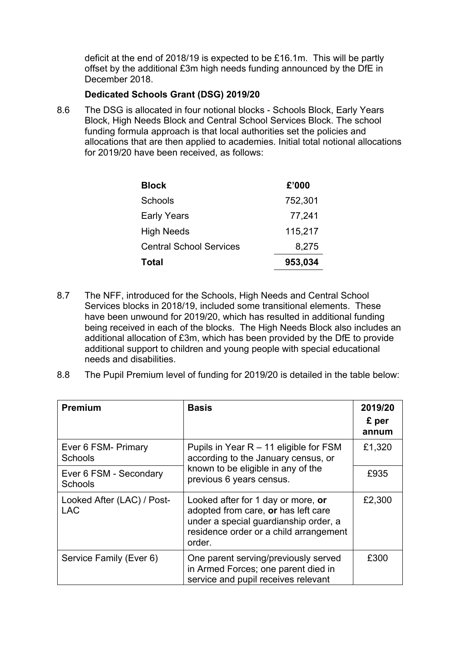deficit at the end of 2018/19 is expected to be £16.1m. This will be partly offset by the additional £3m high needs funding announced by the DfE in December 2018.

#### **Dedicated Schools Grant (DSG) 2019/20**

8.6 The DSG is allocated in four notional blocks - Schools Block, Early Years Block, High Needs Block and Central School Services Block. The school funding formula approach is that local authorities set the policies and allocations that are then applied to academies. Initial total notional allocations for 2019/20 have been received, as follows:

| <b>Block</b>                   | £'000   |
|--------------------------------|---------|
| Schools                        | 752,301 |
| <b>Early Years</b>             | 77,241  |
| <b>High Needs</b>              | 115,217 |
| <b>Central School Services</b> | 8,275   |
| Total                          | 953,034 |

- 8.7 The NFF, introduced for the Schools, High Needs and Central School Services blocks in 2018/19, included some transitional elements. These have been unwound for 2019/20, which has resulted in additional funding being received in each of the blocks. The High Needs Block also includes an additional allocation of £3m, which has been provided by the DfE to provide additional support to children and young people with special educational needs and disabilities.
- 8.8 The Pupil Premium level of funding for 2019/20 is detailed in the table below:

| <b>Premium</b>                           | <b>Basis</b>                                                                                                                                                           | 2019/20<br>£ per<br>annum |
|------------------------------------------|------------------------------------------------------------------------------------------------------------------------------------------------------------------------|---------------------------|
| Ever 6 FSM- Primary<br><b>Schools</b>    | Pupils in Year $R - 11$ eligible for FSM<br>according to the January census, or                                                                                        | £1,320                    |
| Ever 6 FSM - Secondary<br>Schools        | known to be eligible in any of the<br>previous 6 years census.                                                                                                         | £935                      |
| Looked After (LAC) / Post-<br><b>LAC</b> | Looked after for 1 day or more, or<br>adopted from care, or has left care<br>under a special guardianship order, a<br>residence order or a child arrangement<br>order. | £2,300                    |
| Service Family (Ever 6)                  | One parent serving/previously served<br>in Armed Forces; one parent died in<br>service and pupil receives relevant                                                     | £300                      |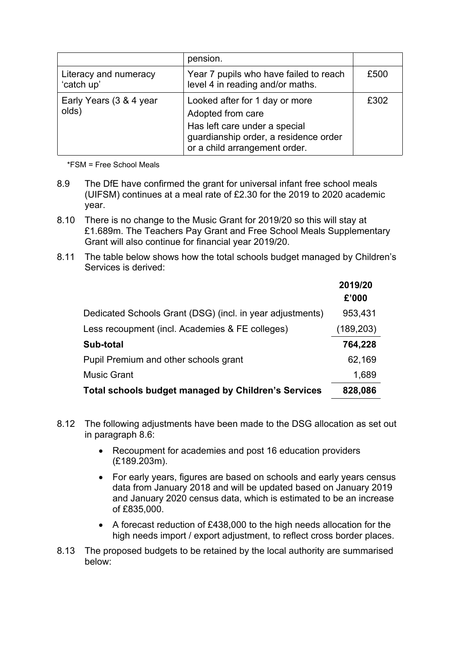|                                     | pension.                                                                                                                                                       |      |
|-------------------------------------|----------------------------------------------------------------------------------------------------------------------------------------------------------------|------|
| Literacy and numeracy<br>'catch up' | Year 7 pupils who have failed to reach<br>level 4 in reading and/or maths.                                                                                     | £500 |
| Early Years (3 & 4 year<br>olds)    | Looked after for 1 day or more<br>Adopted from care<br>Has left care under a special<br>guardianship order, a residence order<br>or a child arrangement order. | £302 |

\*FSM = Free School Meals

- 8.9 The DfE have confirmed the grant for universal infant free school meals (UIFSM) continues at a meal rate of £2.30 for the 2019 to 2020 academic year.
- 8.10 There is no change to the Music Grant for 2019/20 so this will stay at £1.689m. The Teachers Pay Grant and Free School Meals Supplementary Grant will also continue for financial year 2019/20.
- 8.11 The table below shows how the total schools budget managed by Children's Services is derived:

|                                                            | 2019/20<br>£'000 |
|------------------------------------------------------------|------------------|
| Dedicated Schools Grant (DSG) (incl. in year adjustments)  | 953,431          |
| Less recoupment (incl. Academies & FE colleges)            | (189, 203)       |
| Sub-total                                                  | 764,228          |
| Pupil Premium and other schools grant                      | 62,169           |
| <b>Music Grant</b>                                         | 1,689            |
| <b>Total schools budget managed by Children's Services</b> | 828,086          |

- 8.12 The following adjustments have been made to the DSG allocation as set out in paragraph 8.6:
	- Recoupment for academies and post 16 education providers (£189.203m).
	- For early years, figures are based on schools and early years census data from January 2018 and will be updated based on January 2019 and January 2020 census data, which is estimated to be an increase of £835,000.
	- A forecast reduction of £438,000 to the high needs allocation for the high needs import / export adjustment, to reflect cross border places.
- 8.13 The proposed budgets to be retained by the local authority are summarised below: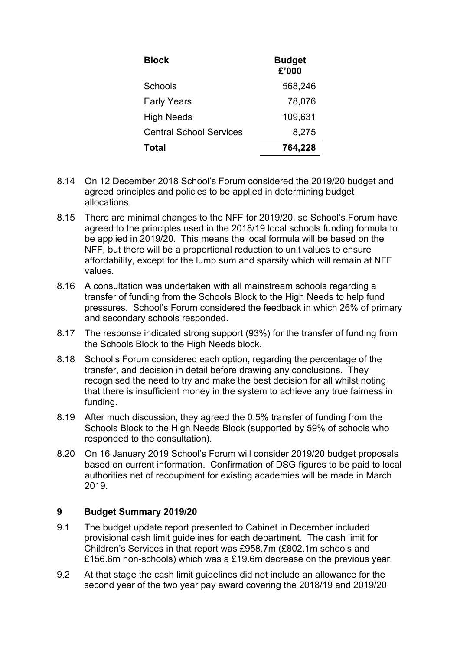| <b>Block</b>                   | <b>Budget</b><br>£'000 |
|--------------------------------|------------------------|
| Schools                        | 568,246                |
| <b>Early Years</b>             | 78,076                 |
| <b>High Needs</b>              | 109,631                |
| <b>Central School Services</b> | 8,275                  |
| <b>Total</b>                   | 764,228                |

- 8.14 On 12 December 2018 School's Forum considered the 2019/20 budget and agreed principles and policies to be applied in determining budget allocations.
- 8.15 There are minimal changes to the NFF for 2019/20, so School's Forum have agreed to the principles used in the 2018/19 local schools funding formula to be applied in 2019/20. This means the local formula will be based on the NFF, but there will be a proportional reduction to unit values to ensure affordability, except for the lump sum and sparsity which will remain at NFF values.
- 8.16 A consultation was undertaken with all mainstream schools regarding a transfer of funding from the Schools Block to the High Needs to help fund pressures. School's Forum considered the feedback in which 26% of primary and secondary schools responded.
- 8.17 The response indicated strong support (93%) for the transfer of funding from the Schools Block to the High Needs block.
- 8.18 School's Forum considered each option, regarding the percentage of the transfer, and decision in detail before drawing any conclusions. They recognised the need to try and make the best decision for all whilst noting that there is insufficient money in the system to achieve any true fairness in funding.
- 8.19 After much discussion, they agreed the 0.5% transfer of funding from the Schools Block to the High Needs Block (supported by 59% of schools who responded to the consultation).
- 8.20 On 16 January 2019 School's Forum will consider 2019/20 budget proposals based on current information. Confirmation of DSG figures to be paid to local authorities net of recoupment for existing academies will be made in March 2019.

## **9 Budget Summary 2019/20**

- 9.1 The budget update report presented to Cabinet in December included provisional cash limit guidelines for each department. The cash limit for Children's Services in that report was £958.7m (£802.1m schools and £156.6m non-schools) which was a £19.6m decrease on the previous year.
- 9.2 At that stage the cash limit guidelines did not include an allowance for the second year of the two year pay award covering the 2018/19 and 2019/20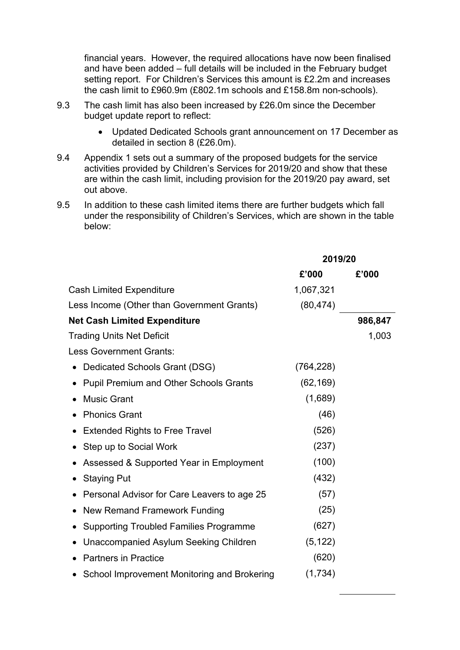financial years. However, the required allocations have now been finalised and have been added – full details will be included in the February budget setting report. For Children's Services this amount is £2.2m and increases the cash limit to £960.9m (£802.1m schools and £158.8m non-schools).

- 9.3 The cash limit has also been increased by £26.0m since the December budget update report to reflect:
	- Updated Dedicated Schools grant announcement on 17 December as detailed in section 8 (£26.0m).
- 9.4 Appendix 1 sets out a summary of the proposed budgets for the service activities provided by Children's Services for 2019/20 and show that these are within the cash limit, including provision for the 2019/20 pay award, set out above.
- 9.5 In addition to these cash limited items there are further budgets which fall under the responsibility of Children's Services, which are shown in the table below:

|                                               | 2019/20    |         |
|-----------------------------------------------|------------|---------|
|                                               | £'000      | £'000   |
| <b>Cash Limited Expenditure</b>               | 1,067,321  |         |
| Less Income (Other than Government Grants)    | (80, 474)  |         |
| <b>Net Cash Limited Expenditure</b>           |            | 986,847 |
| <b>Trading Units Net Deficit</b>              |            | 1,003   |
| <b>Less Government Grants:</b>                |            |         |
| Dedicated Schools Grant (DSG)                 | (764, 228) |         |
| <b>Pupil Premium and Other Schools Grants</b> | (62, 169)  |         |
| <b>Music Grant</b>                            | (1,689)    |         |
| <b>Phonics Grant</b>                          | (46)       |         |
| <b>Extended Rights to Free Travel</b>         | (526)      |         |
| Step up to Social Work                        | (237)      |         |
| Assessed & Supported Year in Employment       | (100)      |         |
| <b>Staying Put</b>                            | (432)      |         |
| Personal Advisor for Care Leavers to age 25   | (57)       |         |
| New Remand Framework Funding                  | (25)       |         |
| <b>Supporting Troubled Families Programme</b> | (627)      |         |
| Unaccompanied Asylum Seeking Children         | (5, 122)   |         |
| <b>Partners in Practice</b>                   | (620)      |         |
| School Improvement Monitoring and Brokering   | (1,734)    |         |
|                                               |            |         |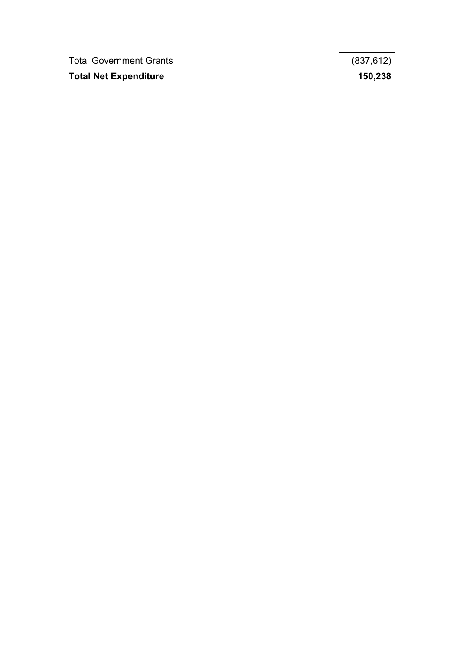| <b>Total Government Grants</b> | (837, 612) |
|--------------------------------|------------|
| <b>Total Net Expenditure</b>   | 150,238    |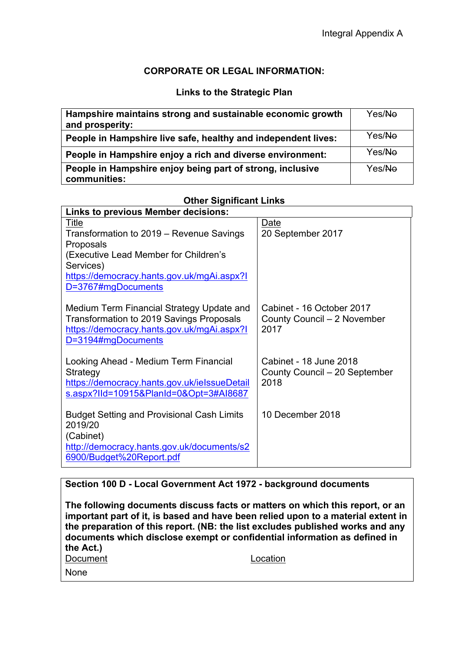## **CORPORATE OR LEGAL INFORMATION:**

#### **Links to the Strategic Plan**

| Hampshire maintains strong and sustainable economic growth<br>and prosperity: | Yes/Ne |
|-------------------------------------------------------------------------------|--------|
| People in Hampshire live safe, healthy and independent lives:                 | Yes/Ne |
| People in Hampshire enjoy a rich and diverse environment:                     | Yes/No |
| People in Hampshire enjoy being part of strong, inclusive<br>communities:     | Yes/No |

# **Other Significant Links**

| <b>Links to previous Member decisions:</b>                                                                                                                |                                                                  |
|-----------------------------------------------------------------------------------------------------------------------------------------------------------|------------------------------------------------------------------|
| Title                                                                                                                                                     | Date                                                             |
| Transformation to 2019 – Revenue Savings                                                                                                                  | 20 September 2017                                                |
| Proposals                                                                                                                                                 |                                                                  |
| (Executive Lead Member for Children's                                                                                                                     |                                                                  |
| Services)                                                                                                                                                 |                                                                  |
| https://democracy.hants.gov.uk/mgAi.aspx?l                                                                                                                |                                                                  |
| D=3767#mgDocuments                                                                                                                                        |                                                                  |
| Medium Term Financial Strategy Update and<br>Transformation to 2019 Savings Proposals<br>https://democracy.hants.gov.uk/mgAi.aspx?l<br>D=3194#mgDocuments | Cabinet - 16 October 2017<br>County Council - 2 November<br>2017 |
| Looking Ahead - Medium Term Financial                                                                                                                     | Cabinet - 18 June 2018                                           |
| Strategy                                                                                                                                                  | County Council - 20 September                                    |
| https://democracy.hants.gov.uk/ielssueDetail                                                                                                              | 2018                                                             |
| s.aspx?lld=10915&PlanId=0&Opt=3#AI8687                                                                                                                    |                                                                  |
| <b>Budget Setting and Provisional Cash Limits</b>                                                                                                         | 10 December 2018                                                 |
| 2019/20                                                                                                                                                   |                                                                  |
| (Cabinet)                                                                                                                                                 |                                                                  |
| http://democracy.hants.gov.uk/documents/s2                                                                                                                |                                                                  |
| 6900/Budget%20Report.pdf                                                                                                                                  |                                                                  |
|                                                                                                                                                           |                                                                  |

## **Section 100 D - Local Government Act 1972 - background documents**

**The following documents discuss facts or matters on which this report, or an important part of it, is based and have been relied upon to a material extent in the preparation of this report. (NB: the list excludes published works and any documents which disclose exempt or confidential information as defined in the Act.)** Document Location None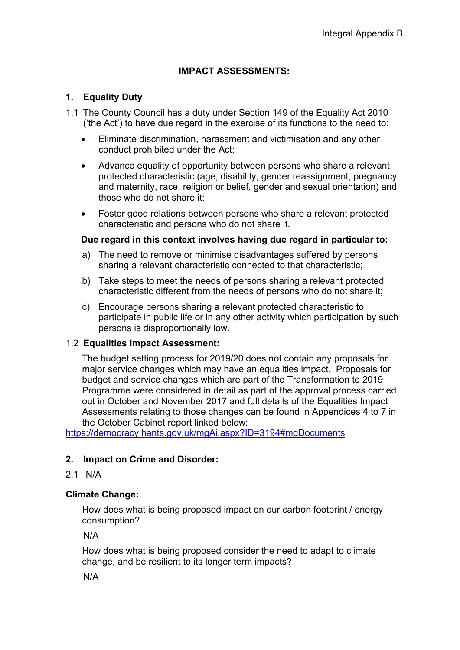# **IMPACT ASSESSMENTS:**

## **1. Equality Duty**

- 1.1 The County Council has a duty under Section 149 of the Equality Act 2010 ('the Act') to have due regard in the exercise of its functions to the need to:
	- Eliminate discrimination, harassment and victimisation and any other conduct prohibited under the Act;
	- Advance equality of opportunity between persons who share a relevant protected characteristic (age, disability, gender reassignment, pregnancy and maternity, race, religion or belief, gender and sexual orientation) and those who do not share it;
	- Foster good relations between persons who share a relevant protected characteristic and persons who do not share it.

#### **Due regard in this context involves having due regard in particular to:**

- a) The need to remove or minimise disadvantages suffered by persons sharing a relevant characteristic connected to that characteristic;
- b) Take steps to meet the needs of persons sharing a relevant protected characteristic different from the needs of persons who do not share it;
- c) Encourage persons sharing a relevant protected characteristic to participate in public life or in any other activity which participation by such persons is disproportionally low.

## 1.2 **Equalities Impact Assessment:**

The budget setting process for 2019/20 does not contain any proposals for major service changes which may have an equalities impact. Proposals for budget and service changes which are part of the Transformation to 2019 Programme were considered in detail as part of the approval process carried out in October and November 2017 and full details of the Equalities Impact Assessments relating to those changes can be found in Appendices 4 to 7 in the October Cabinet report linked below:

<https://democracy.hants.gov.uk/mgAi.aspx?ID=3194#mgDocuments>

## **2. Impact on Crime and Disorder:**

2.1 N/A

## **Climate Change:**

How does what is being proposed impact on our carbon footprint / energy consumption?

N/A

How does what is being proposed consider the need to adapt to climate change, and be resilient to its longer term impacts?

N/A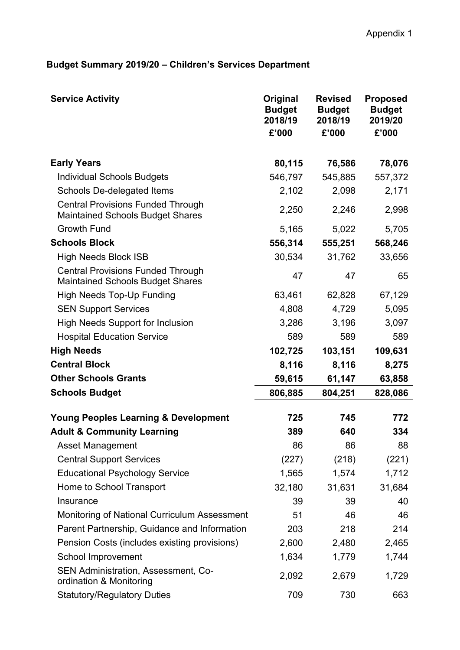# **Budget Summary 2019/20 – Children's Services Department**

| <b>Service Activity</b>                                                             | Original<br><b>Budget</b><br>2018/19<br>£'000 | <b>Revised</b><br><b>Budget</b><br>2018/19<br>£'000 | <b>Proposed</b><br><b>Budget</b><br>2019/20<br>£'000 |
|-------------------------------------------------------------------------------------|-----------------------------------------------|-----------------------------------------------------|------------------------------------------------------|
| <b>Early Years</b>                                                                  | 80,115                                        | 76,586                                              | 78,076                                               |
| <b>Individual Schools Budgets</b>                                                   | 546,797                                       | 545,885                                             | 557,372                                              |
| Schools De-delegated Items                                                          | 2,102                                         | 2,098                                               | 2,171                                                |
| <b>Central Provisions Funded Through</b><br><b>Maintained Schools Budget Shares</b> | 2,250                                         | 2,246                                               | 2,998                                                |
| <b>Growth Fund</b>                                                                  | 5,165                                         | 5,022                                               | 5,705                                                |
| <b>Schools Block</b>                                                                | 556,314                                       | 555,251                                             | 568,246                                              |
| <b>High Needs Block ISB</b>                                                         | 30,534                                        | 31,762                                              | 33,656                                               |
| <b>Central Provisions Funded Through</b><br><b>Maintained Schools Budget Shares</b> | 47                                            | 47                                                  | 65                                                   |
| <b>High Needs Top-Up Funding</b>                                                    | 63,461                                        | 62,828                                              | 67,129                                               |
| <b>SEN Support Services</b>                                                         | 4,808                                         | 4,729                                               | 5,095                                                |
| <b>High Needs Support for Inclusion</b>                                             | 3,286                                         | 3,196                                               | 3,097                                                |
| <b>Hospital Education Service</b>                                                   | 589                                           | 589                                                 | 589                                                  |
| <b>High Needs</b>                                                                   | 102,725                                       | 103,151                                             | 109,631                                              |
| <b>Central Block</b>                                                                | 8,116                                         | 8,116                                               | 8,275                                                |
| <b>Other Schools Grants</b>                                                         | 59,615                                        | 61,147                                              | 63,858                                               |
| <b>Schools Budget</b>                                                               | 806,885                                       | 804,251                                             | 828,086                                              |
| <b>Young Peoples Learning &amp; Development</b>                                     | 725                                           | 745                                                 | 772                                                  |
| <b>Adult &amp; Community Learning</b>                                               | 389                                           | 640                                                 | 334                                                  |
| <b>Asset Management</b>                                                             | 86                                            | 86                                                  | 88                                                   |
| <b>Central Support Services</b>                                                     | (227)                                         | (218)                                               | (221)                                                |
| <b>Educational Psychology Service</b>                                               | 1,565                                         | 1,574                                               | 1,712                                                |
| Home to School Transport                                                            | 32,180                                        | 31,631                                              | 31,684                                               |
| Insurance                                                                           | 39                                            | 39                                                  | 40                                                   |
| Monitoring of National Curriculum Assessment                                        | 51                                            | 46                                                  | 46                                                   |
| Parent Partnership, Guidance and Information                                        | 203                                           | 218                                                 | 214                                                  |
| Pension Costs (includes existing provisions)                                        | 2,600                                         | 2,480                                               | 2,465                                                |
| School Improvement                                                                  | 1,634                                         | 1,779                                               | 1,744                                                |
| SEN Administration, Assessment, Co-<br>ordination & Monitoring                      | 2,092                                         | 2,679                                               | 1,729                                                |
| <b>Statutory/Regulatory Duties</b>                                                  | 709                                           | 730                                                 | 663                                                  |